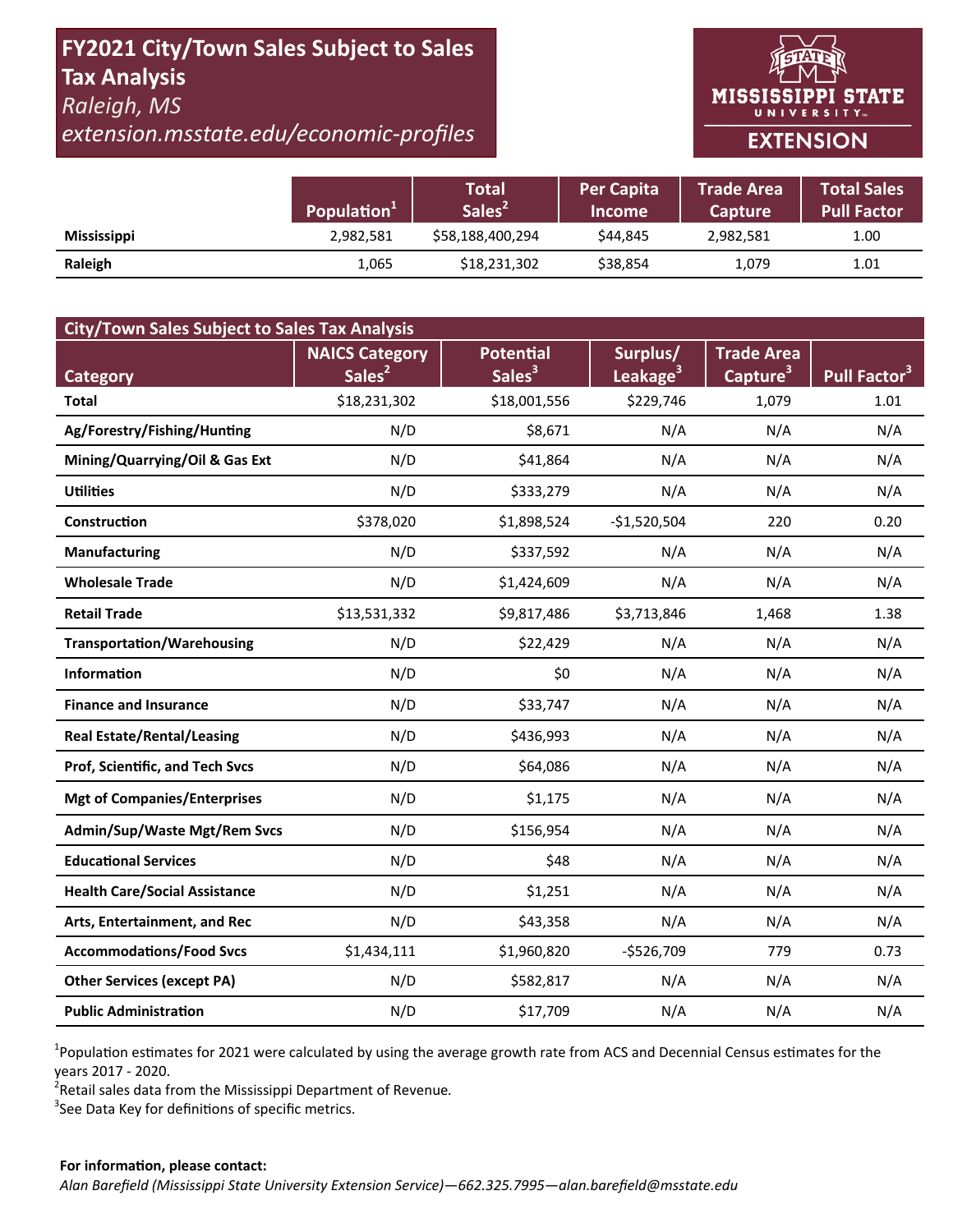# **FY2021 City/Town Sales Subject to Sales Tax Analysis**  *Raleigh, MS*

*extension.msstate.edu/economic‐profiles* 



|                    | Population <sup>1</sup> | Total<br>Sales <sup>2</sup> | <b>Per Capita</b><br><b>Income</b> | <b>Trade Area</b><br><b>Capture</b> | <b>Total Sales</b><br>Pull Factor |
|--------------------|-------------------------|-----------------------------|------------------------------------|-------------------------------------|-----------------------------------|
| <b>Mississippi</b> | 2,982,581               | \$58,188,400,294            | \$44.845                           | 2,982,581                           | 1.00                              |
| Raleigh            | 1,065                   | \$18,231,302                | \$38,854                           | 1,079                               | 1.01                              |

| <b>City/Town Sales Subject to Sales Tax Analysis</b> |                       |                    |                      |                      |                          |  |  |  |
|------------------------------------------------------|-----------------------|--------------------|----------------------|----------------------|--------------------------|--|--|--|
|                                                      | <b>NAICS Category</b> | <b>Potential</b>   | Surplus/             | <b>Trade Area</b>    |                          |  |  |  |
| Category                                             | Sales <sup>2</sup>    | Sales <sup>3</sup> | Leakage <sup>3</sup> | Capture <sup>3</sup> | Pull Factor <sup>3</sup> |  |  |  |
| <b>Total</b>                                         | \$18,231,302          | \$18,001,556       | \$229,746            | 1,079                | 1.01                     |  |  |  |
| Ag/Forestry/Fishing/Hunting                          | N/D                   | \$8,671            | N/A                  | N/A                  | N/A                      |  |  |  |
| Mining/Quarrying/Oil & Gas Ext                       | N/D                   | \$41,864           | N/A                  | N/A                  | N/A                      |  |  |  |
| <b>Utilities</b>                                     | N/D                   | \$333,279          | N/A                  | N/A                  | N/A                      |  |  |  |
| Construction                                         | \$378,020             | \$1,898,524        | $-$1,520,504$        | 220                  | 0.20                     |  |  |  |
| <b>Manufacturing</b>                                 | N/D                   | \$337,592          | N/A                  | N/A                  | N/A                      |  |  |  |
| <b>Wholesale Trade</b>                               | N/D                   | \$1,424,609        | N/A                  | N/A                  | N/A                      |  |  |  |
| <b>Retail Trade</b>                                  | \$13,531,332          | \$9,817,486        | \$3,713,846          | 1,468                | 1.38                     |  |  |  |
| <b>Transportation/Warehousing</b>                    | N/D                   | \$22,429           | N/A                  | N/A                  | N/A                      |  |  |  |
| <b>Information</b>                                   | N/D                   | \$0                | N/A                  | N/A                  | N/A                      |  |  |  |
| <b>Finance and Insurance</b>                         | N/D                   | \$33,747           | N/A                  | N/A                  | N/A                      |  |  |  |
| <b>Real Estate/Rental/Leasing</b>                    | N/D                   | \$436,993          | N/A                  | N/A                  | N/A                      |  |  |  |
| Prof, Scientific, and Tech Svcs                      | N/D                   | \$64,086           | N/A                  | N/A                  | N/A                      |  |  |  |
| <b>Mgt of Companies/Enterprises</b>                  | N/D                   | \$1,175            | N/A                  | N/A                  | N/A                      |  |  |  |
| Admin/Sup/Waste Mgt/Rem Svcs                         | N/D                   | \$156,954          | N/A                  | N/A                  | N/A                      |  |  |  |
| <b>Educational Services</b>                          | N/D                   | \$48               | N/A                  | N/A                  | N/A                      |  |  |  |
| <b>Health Care/Social Assistance</b>                 | N/D                   | \$1,251            | N/A                  | N/A                  | N/A                      |  |  |  |
| Arts, Entertainment, and Rec                         | N/D                   | \$43,358           | N/A                  | N/A                  | N/A                      |  |  |  |
| <b>Accommodations/Food Svcs</b>                      | \$1,434,111           | \$1,960,820        | $-$526,709$          | 779                  | 0.73                     |  |  |  |
| <b>Other Services (except PA)</b>                    | N/D                   | \$582,817          | N/A                  | N/A                  | N/A                      |  |  |  |
| <b>Public Administration</b>                         | N/D                   | \$17,709           | N/A                  | N/A                  | N/A                      |  |  |  |

<sup>1</sup>Population estimates for 2021 were calculated by using the average growth rate from ACS and Decennial Census estimates for the years 2017 ‐ 2020.

2 Retail sales data from the Mississippi Department of Revenue*.* 

 $3$ See Data Key for definitions of specific metrics.

#### **For informaƟon, please contact:**  *Alan Barefield (Mississippi State University Extension Service)—662.325.7995—alan.barefield@msstate.edu*